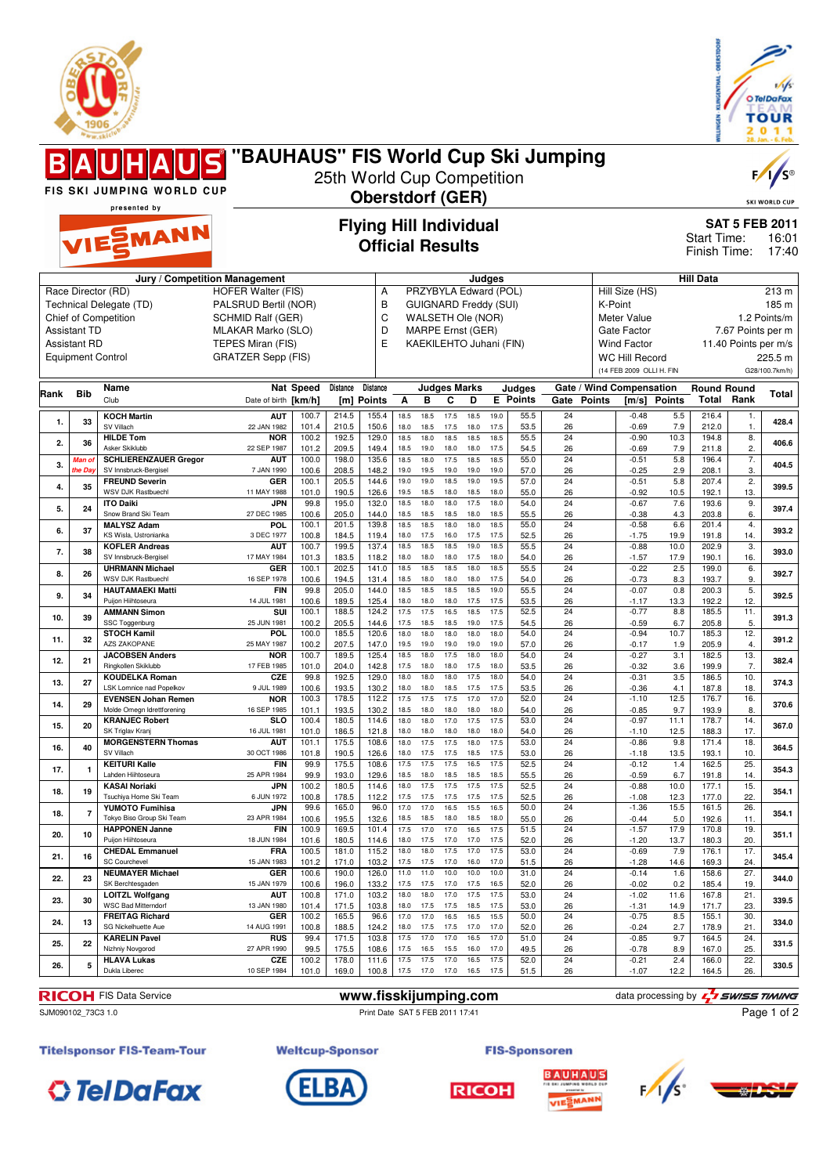



|      |                     | <b>Warw.skictor</b>                                   |                                           |                                                       |                |                         |              |              |                     |                                                   |              |                         |                          |               |                                                   |                      | 렱                  | ∠                       | v<br>п.<br>28. Jan. - 6. Feb. |
|------|---------------------|-------------------------------------------------------|-------------------------------------------|-------------------------------------------------------|----------------|-------------------------|--------------|--------------|---------------------|---------------------------------------------------|--------------|-------------------------|--------------------------|---------------|---------------------------------------------------|----------------------|--------------------|-------------------------|-------------------------------|
|      | All                 | HAUS "BAUHAUS" FIS World Cup Ski Jumping              |                                           |                                                       |                |                         |              |              |                     |                                                   |              |                         |                          |               |                                                   |                      |                    |                         | $F / \sqrt{S^{\circ}}$        |
|      |                     | <b>FIS SKI JUMPING WORLD CUP</b>                      |                                           | 25th World Cup Competition<br><b>Oberstdorf (GER)</b> |                |                         |              |              |                     |                                                   |              |                         |                          |               |                                                   |                      |                    |                         |                               |
|      |                     | presented by                                          |                                           |                                                       |                |                         |              |              |                     |                                                   |              |                         |                          |               |                                                   |                      |                    |                         | <b>SKI WORLD CUP</b>          |
|      |                     | VIESMANN                                              |                                           | <b>Flying Hill Individual</b>                         |                |                         |              |              |                     |                                                   |              |                         |                          |               |                                                   |                      | Start Time:        | <b>SAT 5 FEB 2011</b>   | 16:01                         |
|      |                     |                                                       |                                           |                                                       |                | <b>Official Results</b> |              |              |                     |                                                   |              |                         |                          |               |                                                   |                      | Finish Time:       |                         | 17:40                         |
|      |                     |                                                       | Jury / Competition Management             |                                                       |                |                         |              |              |                     |                                                   | Judges       |                         |                          |               |                                                   |                      | <b>Hill Data</b>   |                         |                               |
|      |                     | Race Director (RD)                                    | <b>HOFER Walter (FIS)</b>                 |                                                       |                | А                       |              |              |                     | PRZYBYLA Edward (POL)                             |              |                         |                          |               | Hill Size (HS)                                    |                      |                    |                         | 213 m                         |
|      |                     | Technical Delegate (TD)<br>Chief of Competition       | PALSRUD Bertil (NOR)<br>SCHMID Ralf (GER) |                                                       |                | B<br>C                  |              |              |                     | <b>GUIGNARD Freddy (SUI)</b><br>WALSETH Ole (NOR) |              |                         |                          | K-Point       | Meter Value                                       |                      |                    |                         | 185 m<br>1.2 Points/m         |
|      | <b>Assistant TD</b> |                                                       | MLAKAR Marko (SLO)                        |                                                       |                | D                       |              |              |                     | MARPE Ernst (GER)                                 |              |                         |                          |               | Gate Factor                                       |                      |                    | 7.67 Points per m       |                               |
|      | <b>Assistant RD</b> |                                                       | TEPES Miran (FIS)                         |                                                       |                | E                       |              |              |                     | KAEKILEHTO Juhani (FIN)                           |              |                         |                          |               | <b>Wind Factor</b>                                |                      |                    | 11.40 Points per m/s    |                               |
|      |                     | <b>Equipment Control</b>                              | <b>GRATZER Sepp (FIS)</b>                 |                                                       |                |                         |              |              |                     |                                                   |              |                         |                          |               | <b>WC Hill Record</b><br>(14 FEB 2009 OLLI H. FIN |                      |                    |                         | 225.5 m<br>G28/100.7km/h)     |
| Rank | Bib                 | Name                                                  |                                           | <b>Nat Speed</b>                                      | Distance       | Distance                |              |              | <b>Judges Marks</b> |                                                   |              | Judges                  | Gate / Wind Compensation |               |                                                   |                      | <b>Round Round</b> |                         | Total                         |
|      |                     | Club<br><b>KOCH Martin</b>                            | Date of birth [km/h]<br><b>AUT</b>        | 100.7                                                 | 214.5          | [m] Points<br>155.4     | Α<br>18.5    | в<br>18.5    | C<br>17.5           | D<br>18.5                                         | 19.0         | <b>E</b> Points<br>55.5 | Gate<br>24               | <b>Points</b> | [m/s]<br>$-0.48$                                  | <b>Points</b><br>5.5 | 216.4              | <b>Total Rank</b><br>1. |                               |
| 1.   | 33                  | SV Villach                                            | 22 JAN 1982                               | 101.4                                                 | 210.5          | 150.6                   | 18.0         | 18.5         | 17.5                | 18.0                                              | 17.5         | 53.5                    | 26                       |               | $-0.69$                                           | 7.9                  | 212.0              | 1.                      | 428.4                         |
| 2.   | 36                  | <b>HILDE Tom</b><br>Asker Skiklubb                    | <b>NOR</b><br>22 SEP 1987                 | 100.2<br>101.2                                        | 192.5<br>209.5 | 129.0<br>149.4          | 18.5<br>18.5 | 18.0<br>19.0 | 18.5<br>18.0        | 18.5<br>18.0                                      | 18.5<br>17.5 | 55.5<br>54.5            | 24<br>26                 |               | $-0.90$<br>$-0.69$                                | 10.3<br>7.9          | 194.8<br>211.8     | 8.<br>2.                | 406.6                         |
| 3.   | Man ol<br>the Da    | <b>SCHLIERENZAUER Gregor</b><br>SV Innsbruck-Bergisel | <b>AUT</b><br>7 JAN 1990                  | 100.0<br>100.6                                        | 198.0<br>208.5 | 135.6<br>148.2          | 18.5<br>19.0 | 18.0<br>19.5 | 17.5<br>19.0        | 18.5<br>19.0                                      | 18.5<br>19.0 | 55.0<br>57.0            | 24<br>26                 |               | $-0.51$<br>$-0.25$                                | 5.8<br>2.9           | 196.4<br>208.1     | 7.<br>3.                | 404.5                         |
| 4.   | 35                  | <b>FREUND Severin</b>                                 | GER                                       | 100.1                                                 | 205.5          | 144.6                   | 19.0         | 19.0         | 18.5                | 19.0                                              | 19.5         | 57.0                    | 24                       |               | $-0.51$                                           | 5.8                  | 207.4              | 2.                      | 399.5                         |
|      |                     | WSV DJK Rastbuechl<br><b>ITO Daiki</b>                | 11 MAY 1988<br>JPN                        | 101.0<br>99.8                                         | 190.5<br>195.0 | 126.6<br>132.0          | 19.5<br>18.5 | 18.5<br>18.0 | 18.0<br>18.0        | 18.5<br>17.5                                      | 18.0<br>18.0 | 55.0<br>54.0            | 26<br>24                 |               | $-0.92$<br>$-0.67$                                | 10.5<br>7.6          | 192.1<br>193.6     | 13.<br>9.               |                               |
| 5.   | 24                  | Snow Brand Ski Team                                   | 27 DEC 1985                               | 100.6                                                 | 205.0          | 144.0                   | 18.5         | 18.5<br>18.5 | 18.5<br>18.0        | 18.0                                              | 18.5<br>18.5 | 55.5                    | 26                       |               | $-0.38$                                           | 4.3                  | 203.8              | 6.                      | 397.4                         |
| 6.   | 37                  | <b>MALYSZ Adam</b><br>KS Wisla, Ustronianka           | POL<br>3 DEC 1977                         | 100.1<br>100.8                                        | 201.5<br>184.5 | 139.8<br>119.4          | 18.5<br>18.0 | 17.5         | 16.0                | 18.0<br>17.5                                      | 17.5         | 55.0<br>52.5            | 24<br>26                 |               | $-0.58$<br>$-1.75$                                | 6.6<br>19.9          | 201.4<br>191.8     | 4.<br>14.               | 393.2                         |
| 7.   | 38                  | <b>KOFLER Andreas</b><br>SV Innsbruck-Bergisel        | <b>AUT</b><br>17 MAY 1984                 | 100.7<br>101.3                                        | 199.5<br>183.5 | 137.4<br>118.2          | 18.5<br>18.0 | 18.5<br>18.0 | 18.5<br>18.0        | 19.0<br>17.5                                      | 18.5<br>18.0 | 55.5<br>54.0            | 24<br>26                 |               | $-0.88$<br>$-1.57$                                | 10.0<br>17.9         | 202.9<br>190.1     | 3.<br>16.               | 393.0                         |
| 8.   | 26                  | <b>UHRMANN Michael</b><br>WSV DJK Rastbuechl          | GER<br>16 SEP 1978                        | 100.1                                                 | 202.5          | 141.0                   | 18.5<br>18.5 | 18.5<br>18.0 | 18.5<br>18.0        | 18.0<br>18.0                                      | 18.5<br>17.5 | 55.5                    | 24                       |               | $-0.22$                                           | 2.5<br>8.3           | 199.0              | 6.<br>9.                | 392.7                         |
| 9.   | 34                  | <b>HAUTAMAEKI Matti</b>                               | <b>FIN</b>                                | 100.6<br>99.8                                         | 194.5<br>205.0 | 131.4<br>144.0          | 18.5         | 18.5         | 18.5                | 18.5                                              | 19.0         | 54.0<br>55.5            | 26<br>24                 |               | $-0.73$<br>$-0.07$                                | 0.8                  | 193.7<br>200.3     | 5.                      | 392.5                         |
|      |                     | Puijon Hiihtoseura<br><b>AMMANN Simon</b>             | 14 JUL 1981<br>SUI                        | 100.6<br>100.1                                        | 189.5<br>188.5 | 125.4<br>124.2          | 18.0<br>17.5 | 18.0<br>17.5 | 18.0<br>16.5        | 17.5<br>18.5                                      | 17.5<br>17.5 | 53.5<br>52.5            | 26<br>24                 |               | $-1.17$<br>$-0.77$                                | 13.3<br>8.8          | 192.2<br>185.5     | 12.<br>11.              |                               |
| 10.  | 39                  | SSC Toggenburg<br><b>STOCH Kamil</b>                  | 25 JUN 1981<br>POL                        | 100.2<br>100.0                                        | 205.5<br>185.5 | 144.6<br>120.6          | 17.5<br>18.0 | 18.5<br>18.0 | 18.5<br>18.0        | 19.0<br>18.0                                      | 17.5<br>18.0 | 54.5<br>54.0            | 26<br>24                 |               | $-0.59$<br>$-0.94$                                | 6.7<br>10.7          | 205.8<br>185.3     | 5.<br>12.               | 391.3                         |
| 11.  | 32                  | <b>AZS ZAKOPANE</b>                                   | 25 MAY 1987                               | 100.2                                                 | 207.5          | 147.0                   | 19.5         | 19.0         | 19.0                | 19.0                                              | 19.0         | 57.0                    | 26                       |               | $-0.17$                                           | 1.9                  | 205.9              | 4.                      | 391.2                         |
| 12.  | 21                  | <b>JACOBSEN Anders</b><br>Ringkollen Skiklubb         | <b>NOR</b><br>17 FEB 1985                 | 100.7<br>101.0                                        | 189.5<br>204.0 | 125.4<br>142.8          | 18.5<br>17.5 | 18.0<br>18.0 | 17.5<br>18.0        | 18.0<br>17.5                                      | 18.0<br>18.0 | 54.0<br>53.5            | 24<br>26                 |               | $-0.27$<br>$-0.32$                                | 3.1<br>3.6           | 182.5<br>199.9     | 13.<br>7.               | 382.4                         |
| 13.  | 27                  | <b>KOUDELKA Roman</b><br>LSK Lomnice nad Popelkov     | CZE<br>9 JUL 1989                         | 99.8<br>100.6                                         | 192.5<br>193.5 | 129.0<br>130.2          | 18.0<br>18.0 | 18.0<br>18.0 | 18.0<br>18.5        | 17.5<br>17.5                                      | 18.0<br>17.5 | 54.0<br>53.5            | 24<br>26                 |               | $-0.31$<br>$-0.36$                                | 3.5<br>4.1           | 186.5<br>187.8     | 10.<br>18.              | 374.3                         |
| 14.  | 29                  | <b>EVENSEN Johan Remen</b>                            | <b>NOR</b>                                | 100.3                                                 | 178.5          | 112.2                   | 17.5         | 17.5         | 17.5                | 17.0                                              | 17.0         | 52.0                    | 24                       |               | $-1.10$                                           | 12.5                 | 176.7              | 16.                     | 370.6                         |
|      |                     | Molde Omegn Idrettforening<br><b>KRANJEC Robert</b>   | 16 SEP 1985<br><b>SLO</b>                 | 101.1<br>100.4                                        | 193.5<br>180.5 | 130.2<br>114.6          | 18.5<br>18.0 | 18.0<br>18.0 | 18.0<br>17.0        | 18.0<br>17.5                                      | 18.0<br>17.5 | 54.0<br>53.0            | 26<br>24                 |               | $-0.85$<br>$-0.97$                                | 9.7<br>11.1          | 193.9<br>178.7     | 8.<br>14.               |                               |
| 15.  | 20                  | SK Triglav Kranj<br><b>MORGENSTERN Thomas</b>         | 16 JUL 1981<br><b>AUT</b>                 | 101.0<br>101.1                                        | 186.5<br>175.5 | 121.8<br>108.6          | 18.0<br>18.0 | 18.0<br>17.5 | 18.0<br>17.5        | 18.0<br>18.0                                      | 18.0<br>17.5 | 54.0<br>53.0            | 26<br>24                 |               | $-1.10$<br>$-0.86$                                | 12.5<br>9.8          | 188.3<br>171.4     | 17.<br>18.              | 367.0                         |
| 16.  | 40                  | SV Villach                                            | 30 OCT 1986                               | 101.8                                                 | 190.5          | 126.6                   | 18.0         | 17.5         | 17.5                | 18.5                                              | 17.5         | 53.0                    | 26                       |               | $-1.18$                                           | 13.5                 | 193.1              | 10.                     | 364.5                         |
| 17.  | $\mathbf{1}$        | <b>KEITURI Kalle</b><br>Lahden Hiihtoseura            | FIN<br>25 APR 1984                        | 99.9<br>99.9                                          | 175.5<br>193.0 | 108.6<br>129.6          | 17.5<br>18.5 | 17.5<br>18.0 | 17.5<br>18.5        | 16.5<br>18.5                                      | 17.5<br>18.5 | 52.5<br>55.5            | 24<br>26                 |               | $-0.12$<br>$-0.59$                                | 1.4<br>6.7           | 162.5<br>191.8     | 25.<br>14.              | 354.3                         |
| 18.  | 19                  | <b>KASAI Noriaki</b><br>Tsuchiya Home Ski Team        | JPN<br>6 JUN 1972                         | 100.2<br>100.8                                        | 180.5<br>178.5 | 114.6<br>112.2          | 18.0<br>17.5 | 17.5<br>17.5 | 17.5<br>17.5        | 17.5<br>17.5                                      | 17.5<br>17.5 | 52.5<br>52.5            | 24<br>26                 |               | $-0.88$<br>$-1.08$                                | 10.0<br>12.3         | 177.1<br>177.0     | 15.<br>22.              | 354.1                         |
| 18.  | $\overline{7}$      | YUMOTO Fumihisa                                       | JPN                                       | 99.6                                                  | 165.0          | 96.0                    | 17.0         | 17.0         | 16.5                | 15.5                                              | 16.5         | 50.0                    | 24                       |               | $-1.36$                                           | 15.5                 | 161.5              | 26.                     | 354.1                         |
| 20.  | 10                  | Tokyo Biso Group Ski Team<br><b>HAPPONEN Janne</b>    | 23 APR 1984<br><b>FIN</b>                 | 100.6<br>100.9                                        | 195.5<br>169.5 | 132.6<br>101.4          | 18.5<br>17.5 | 18.5<br>17.0 | 18.0<br>17.0        | 18.5<br>16.5                                      | 18.0<br>17.5 | 55.0<br>51.5            | 26<br>24                 |               | $-0.44$<br>$-1.57$                                | 5.0<br>17.9          | 192.6<br>170.8     | 11.<br>19.              | 351.1                         |
|      |                     | Puijon Hiihtoseura<br><b>CHEDAL Emmanuel</b>          | 18 JUN 1984<br><b>FRA</b>                 | 101.6<br>100.5                                        | 180.5<br>181.0 | 114.6<br>115.2          | 18.0<br>18.0 | 17.5<br>18.0 | 17.0<br>17.5        | 17.0<br>17.0                                      | 17.5<br>17.5 | 52.0<br>53.0            | 26<br>24                 |               | $-1.20$<br>$-0.69$                                | 13.7<br>7.9          | 180.3<br>176.1     | 20.<br>17.              |                               |
| 21.  | 16                  | SC Courchevel                                         | 15 JAN 1983                               | 101.2                                                 | 171.0          | 103.2                   | 17.5         | 17.5         | 17.0                | 16.0                                              | 17.0         | 51.5                    | 26                       |               | $-1.28$                                           | 14.6                 | 169.3              | 24.                     | 345.4                         |
| 22.  | 23                  | <b>NEUMAYER Michael</b><br>SK Berchtesgaden           | GER<br>15 JAN 1979                        | 100.6<br>100.6                                        | 190.0<br>196.0 | 126.0<br>133.2          | 11.0<br>17.5 | 11.0<br>17.5 | 10.0<br>17.0        | 10.0<br>17.5                                      | 10.0<br>16.5 | 31.0<br>52.0            | 24<br>26                 |               | $-0.14$<br>$-0.02$                                | 1.6<br>0.2           | 158.6<br>185.4     | 27.<br>19.              | 344.0                         |
| 23.  | 30                  | <b>LOITZL Wolfgang</b><br><b>WSC Bad Mitterndorf</b>  | <b>AUT</b><br>13 JAN 1980                 | 100.8<br>101.4                                        | 171.0<br>171.5 | 103.2<br>103.8          | 18.0<br>18.0 | 18.0<br>17.5 | 17.0<br>17.5        | 17.5<br>18.5                                      | 17.5<br>17.5 | 53.0<br>53.0            | 24<br>26                 |               | $-1.02$<br>$-1.31$                                | 11.6<br>14.9         | 167.8<br>171.7     | 21.<br>23.              | 339.5                         |
| 24.  | 13                  | <b>FREITAG Richard</b>                                | GER                                       | 100.2                                                 | 165.5          | 96.6                    | 17.0         | 17.0         | 16.5                | 16.5                                              | 15.5         | 50.0                    | 24                       |               | $-0.75$                                           | 8.5                  | 155.1              | 30.                     | 334.0                         |
| 25.  | 22                  | SG Nickelhuette Aue<br><b>KARELIN Pavel</b>           | 14 AUG 1991<br><b>RUS</b>                 | 100.8<br>99.4                                         | 188.5<br>171.5 | 124.2<br>103.8          | 18.0<br>17.5 | 17.5<br>17.0 | 17.5<br>17.0        | 17.0<br>16.5                                      | 17.0<br>17.0 | 52.0<br>51.0            | 26<br>24                 |               | $-0.24$<br>$-0.85$                                | 2.7<br>9.7           | 178.9<br>164.5     | 21.<br>24.              | 331.5                         |
|      |                     | Nizhniy Novgorod<br><b>HLAVA Lukas</b>                | 27 APR 1990<br>CZE                        | 99.5<br>100.2                                         | 175.5<br>178.0 | 108.6<br>111.6          | 17.5<br>17.5 | 16.5<br>17.5 | 15.5<br>17.0        | 16.0<br>16.5                                      | 17.0<br>17.5 | 49.5<br>52.0            | 26<br>24                 |               | $-0.78$<br>$-0.21$                                | 8.9<br>2.4           | 167.0<br>166.0     | 25.<br>22.              |                               |
| 26.  | 5                   | Dukla Liberec                                         | 10 SEP 1984                               | 101.0                                                 | 169.0          | 100.8                   | 17.5 17.0    |              | 17.0                | 16.5                                              | 17.5         | 51.5                    | 26                       |               | $-1.07$                                           | 12.2                 | 164.5              | 26.                     | 330.5                         |

FIS Data Service **www.fisskijumping.com** atta processing by a strong term of the strong by

SJM090102\_73C3 1.0 Print Date SAT 5 FEB 2011 17:41

Page 1 of 2

**Titelsponsor FIS-Team-Tour** 













**Weltcup-Sponsor** 

**FIS-Sponsoren**